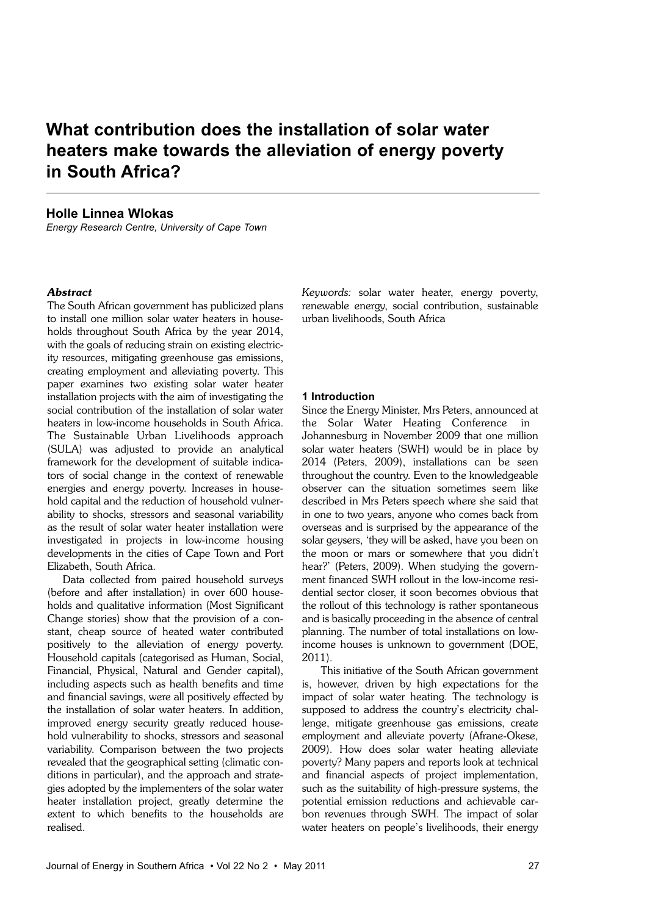# **What contribution does the installation of solar water heaters make towards the alleviation of energy poverty in South Africa?**

# **Holle Linnea Wlokas**

*Energy Research Centre, University of Cape Town*

## *Abstract*

The South African government has publicized plans to install one million solar water heaters in households throughout South Africa by the year 2014, with the goals of reducing strain on existing electricity resources, mitigating greenhouse gas emissions, creating employment and alleviating poverty. This paper examines two existing solar water heater installation projects with the aim of investigating the social contribution of the installation of solar water heaters in low-income households in South Africa. The Sustainable Urban Livelihoods approach (SULA) was adjusted to provide an analytical framework for the development of suitable indicators of social change in the context of renewable energies and energy poverty. Increases in household capital and the reduction of household vulnerability to shocks, stressors and seasonal variability as the result of solar water heater installation were investigated in projects in low-income housing developments in the cities of Cape Town and Port Elizabeth, South Africa.

Data collected from paired household surveys (before and after installation) in over 600 households and qualitative information (Most Significant Change stories) show that the provision of a constant, cheap source of heated water contributed positively to the alleviation of energy poverty. Household capitals (categorised as Human, Social, Financial, Physical, Natural and Gender capital), including aspects such as health benefits and time and financial savings, were all positively effected by the installation of solar water heaters. In addition, improved energy security greatly reduced household vulnerability to shocks, stressors and seasonal variability. Comparison between the two projects revealed that the geographical setting (climatic conditions in particular), and the approach and strategies adopted by the implementers of the solar water heater installation project, greatly determine the extent to which benefits to the households are realised.

*Keywords:* solar water heater, energy poverty, renewable energy, social contribution, sustainable urban livelihoods, South Africa

## **1 Introduction**

Since the Energy Minister, Mrs Peters, announced at the Solar Water Heating Conference in Johannesburg in November 2009 that one million solar water heaters (SWH) would be in place by 2014 (Peters, 2009), installations can be seen throughout the country. Even to the knowledgeable observer can the situation sometimes seem like described in Mrs Peters speech where she said that in one to two years, anyone who comes back from overseas and is surprised by the appearance of the solar geysers, 'they will be asked, have you been on the moon or mars or somewhere that you didn't hear?' (Peters, 2009). When studying the government financed SWH rollout in the low-income residential sector closer, it soon becomes obvious that the rollout of this technology is rather spontaneous and is basically proceeding in the absence of central planning. The number of total installations on lowincome houses is unknown to government (DOE, 2011).

This initiative of the South African government is, however, driven by high expectations for the impact of solar water heating. The technology is supposed to address the country's electricity challenge, mitigate greenhouse gas emissions, create employment and alleviate poverty (Afrane-Okese, 2009). How does solar water heating alleviate poverty? Many papers and reports look at technical and financial aspects of project implementation, such as the suitability of high-pressure systems, the potential emission reductions and achievable carbon revenues through SWH. The impact of solar water heaters on people's livelihoods, their energy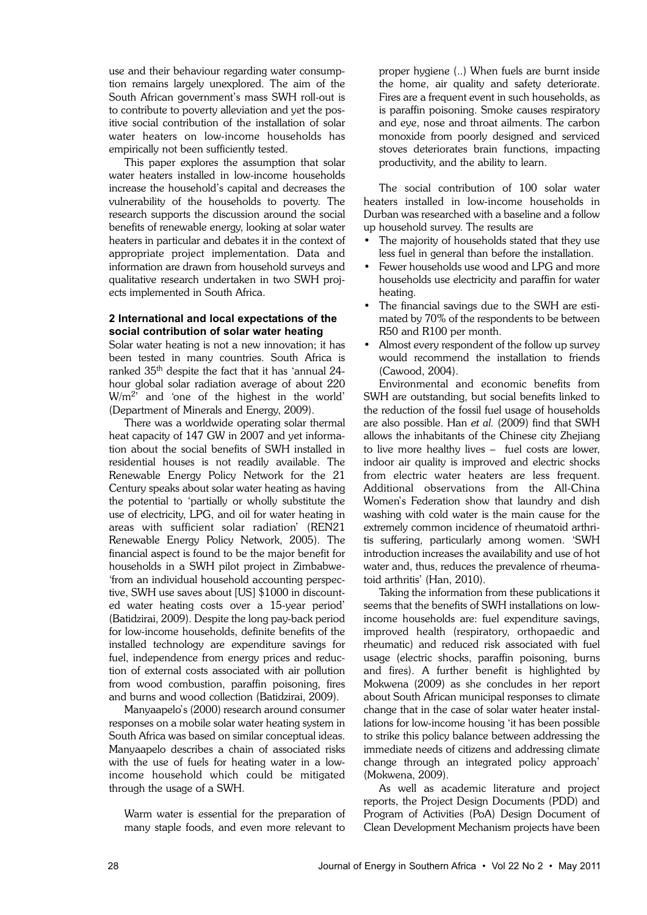use and their behaviour regarding water consumption remains largely unexplored. The aim of the South African government's mass SWH roll-out is to contribute to poverty alleviation and yet the positive social contribution of the installation of solar water heaters on low-income households has empirically not been sufficiently tested.

This paper explores the assumption that solar water heaters installed in low-income households increase the household's capital and decreases the vulnerability of the households to poverty. The research supports the discussion around the social benefits of renewable energy, looking at solar water heaters in particular and debates it in the context of appropriate project implementation. Data and information are drawn from household surveys and qualitative research undertaken in two SWH projects implemented in South Africa.

## **2 International and local expectations of the social contribution of solar water heating**

Solar water heating is not a new innovation; it has been tested in many countries. South Africa is ranked 35th despite the fact that it has 'annual 24 hour global solar radiation average of about 220 W/m<sup>2</sup> ' and 'one of the highest in the world' (Department of Minerals and Energy, 2009).

There was a worldwide operating solar thermal heat capacity of 147 GW in 2007 and yet information about the social benefits of SWH installed in residential houses is not readily available. The Renewable Energy Policy Network for the 21 Century speaks about solar water heating as having the potential to 'partially or wholly substitute the use of electricity, LPG, and oil for water heating in areas with sufficient solar radiation' (REN21 Renewable Energy Policy Network, 2005). The financial aspect is found to be the major benefit for households in a SWH pilot project in Zimbabwe- 'from an individual household accounting perspective, SWH use saves about [US] \$1000 in discounted water heating costs over a 15-year period' (Batidzirai, 2009). Despite the long pay-back period for low-income households, definite benefits of the installed technology are expenditure savings for fuel, independence from energy prices and reduction of external costs associated with air pollution from wood combustion, paraffin poisoning, fires and burns and wood collection (Batidzirai, 2009).

Manyaapelo's (2000) research around consumer responses on a mobile solar water heating system in South Africa was based on similar conceptual ideas. Manyaapelo describes a chain of associated risks with the use of fuels for heating water in a lowincome household which could be mitigated through the usage of a SWH.

Warm water is essential for the preparation of many staple foods, and even more relevant to

proper hygiene (..) When fuels are burnt inside the home, air quality and safety deteriorate. Fires are a frequent event in such households, as is paraffin poisoning. Smoke causes respiratory and eye, nose and throat ailments. The carbon monoxide from poorly designed and serviced stoves deteriorates brain functions, impacting productivity, and the ability to learn.

The social contribution of 100 solar water heaters installed in low-income households in Durban was researched with a baseline and a follow up household survey. The results are

- The majority of households stated that they use less fuel in general than before the installation.
- Fewer households use wood and LPG and more households use electricity and paraffin for water heating.
- The financial savings due to the SWH are estimated by 70% of the respondents to be between R50 and R100 per month.
- Almost every respondent of the follow up survey would recommend the installation to friends (Cawood, 2004).

Environmental and economic benefits from SWH are outstanding, but social benefits linked to the reduction of the fossil fuel usage of households are also possible. Han *et al.* (2009) find that SWH allows the inhabitants of the Chinese city Zhejiang to live more healthy lives – fuel costs are lower, indoor air quality is improved and electric shocks from electric water heaters are less frequent. Additional observations from the All-China Women's Federation show that laundry and dish washing with cold water is the main cause for the extremely common incidence of rheumatoid arthritis suffering, particularly among women. 'SWH introduction increases the availability and use of hot water and, thus, reduces the prevalence of rheumatoid arthritis' (Han, 2010).

Taking the information from these publications it seems that the benefits of SWH installations on lowincome households are: fuel expenditure savings, improved health (respiratory, orthopaedic and rheumatic) and reduced risk associated with fuel usage (electric shocks, paraffin poisoning, burns and fires). A further benefit is highlighted by Mokwena (2009) as she concludes in her report about South African municipal responses to climate change that in the case of solar water heater installations for low-income housing 'it has been possible to strike this policy balance between addressing the immediate needs of citizens and addressing climate change through an integrated policy approach' (Mokwena, 2009).

As well as academic literature and project reports, the Project Design Documents (PDD) and Program of Activities (PoA) Design Document of Clean Development Mechanism projects have been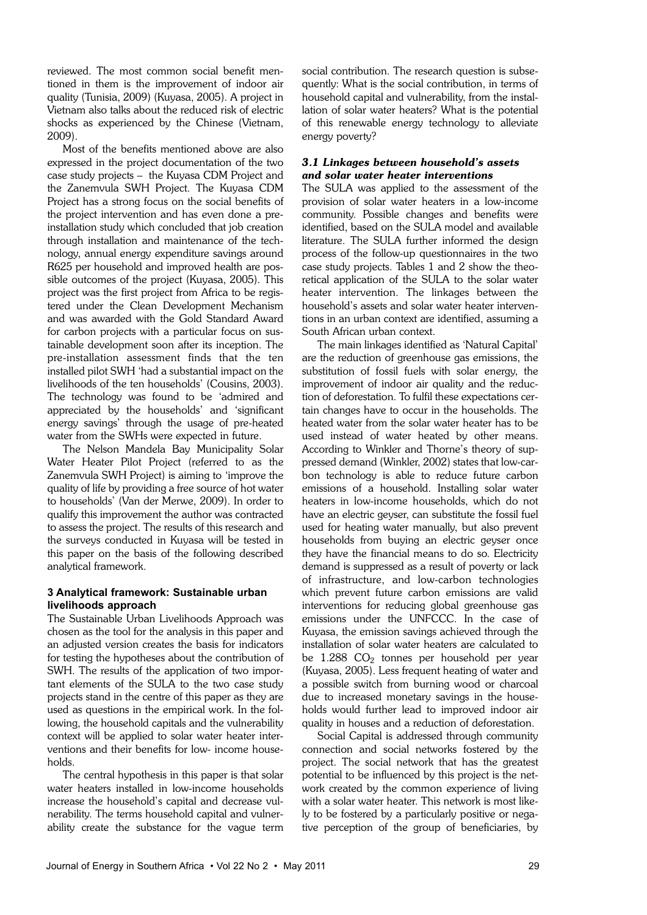reviewed. The most common social benefit mentioned in them is the improvement of indoor air quality (Tunisia, 2009) (Kuyasa, 2005). A project in Vietnam also talks about the reduced risk of electric shocks as experienced by the Chinese (Vietnam, 2009).

Most of the benefits mentioned above are also expressed in the project documentation of the two case study projects – the Kuyasa CDM Project and the Zanemvula SWH Project. The Kuyasa CDM Project has a strong focus on the social benefits of the project intervention and has even done a preinstallation study which concluded that job creation through installation and maintenance of the technology, annual energy expenditure savings around R625 per household and improved health are possible outcomes of the project (Kuyasa, 2005). This project was the first project from Africa to be registered under the Clean Development Mechanism and was awarded with the Gold Standard Award for carbon projects with a particular focus on sustainable development soon after its inception. The pre-installation assessment finds that the ten installed pilot SWH 'had a substantial impact on the livelihoods of the ten households' (Cousins, 2003). The technology was found to be 'admired and appreciated by the households' and 'significant energy savings' through the usage of pre-heated water from the SWHs were expected in future.

The Nelson Mandela Bay Municipality Solar Water Heater Pilot Project (referred to as the Zanemvula SWH Project) is aiming to 'improve the quality of life by providing a free source of hot water to households' (Van der Merwe, 2009). In order to qualify this improvement the author was contracted to assess the project. The results of this research and the surveys conducted in Kuyasa will be tested in this paper on the basis of the following described analytical framework.

## **3 Analytical framework: Sustainable urban livelihoods approach**

The Sustainable Urban Livelihoods Approach was chosen as the tool for the analysis in this paper and an adjusted version creates the basis for indicators for testing the hypotheses about the contribution of SWH. The results of the application of two important elements of the SULA to the two case study projects stand in the centre of this paper as they are used as questions in the empirical work. In the following, the household capitals and the vulnerability context will be applied to solar water heater interventions and their benefits for low- income households.

The central hypothesis in this paper is that solar water heaters installed in low-income households increase the household's capital and decrease vulnerability. The terms household capital and vulnerability create the substance for the vague term social contribution. The research question is subsequently: What is the social contribution, in terms of household capital and vulnerability, from the installation of solar water heaters? What is the potential of this renewable energy technology to alleviate energy poverty?

# *3.1 Linkages between household's assets and solar water heater interventions*

The SULA was applied to the assessment of the provision of solar water heaters in a low-income community. Possible changes and benefits were identified, based on the SULA model and available literature. The SULA further informed the design process of the follow-up questionnaires in the two case study projects. Tables 1 and 2 show the theoretical application of the SULA to the solar water heater intervention. The linkages between the household's assets and solar water heater interventions in an urban context are identified, assuming a South African urban context.

The main linkages identified as 'Natural Capital' are the reduction of greenhouse gas emissions, the substitution of fossil fuels with solar energy, the improvement of indoor air quality and the reduction of deforestation. To fulfil these expectations certain changes have to occur in the households. The heated water from the solar water heater has to be used instead of water heated by other means. According to Winkler and Thorne's theory of suppressed demand (Winkler, 2002) states that low-carbon technology is able to reduce future carbon emissions of a household. Installing solar water heaters in low-income households, which do not have an electric geyser, can substitute the fossil fuel used for heating water manually, but also prevent households from buying an electric geyser once they have the financial means to do so. Electricity demand is suppressed as a result of poverty or lack of infrastructure, and low-carbon technologies which prevent future carbon emissions are valid interventions for reducing global greenhouse gas emissions under the UNFCCC. In the case of Kuyasa, the emission savings achieved through the installation of solar water heaters are calculated to be 1.288  $\mathrm{CO}_2$  tonnes per household per year (Kuyasa, 2005). Less frequent heating of water and a possible switch from burning wood or charcoal due to increased monetary savings in the households would further lead to improved indoor air quality in houses and a reduction of deforestation.

Social Capital is addressed through community connection and social networks fostered by the project. The social network that has the greatest potential to be influenced by this project is the network created by the common experience of living with a solar water heater. This network is most likely to be fostered by a particularly positive or negative perception of the group of beneficiaries, by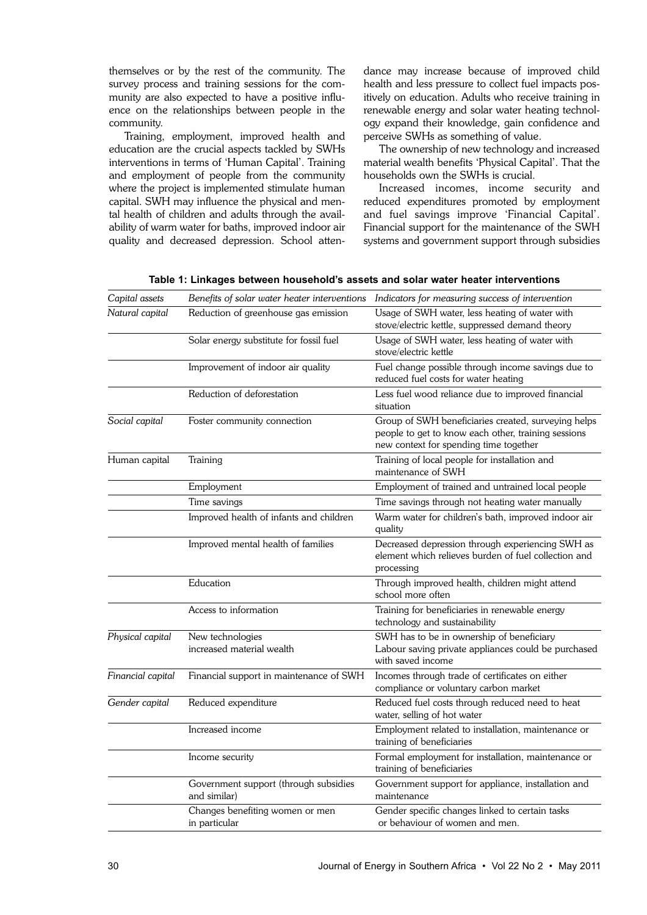themselves or by the rest of the community. The survey process and training sessions for the community are also expected to have a positive influence on the relationships between people in the community.

Training, employment, improved health and education are the crucial aspects tackled by SWHs interventions in terms of 'Human Capital'. Training and employment of people from the community where the project is implemented stimulate human capital. SWH may influence the physical and mental health of children and adults through the availability of warm water for baths, improved indoor air quality and decreased depression. School attendance may increase because of improved child health and less pressure to collect fuel impacts positively on education. Adults who receive training in renewable energy and solar water heating technology expand their knowledge, gain confidence and perceive SWHs as something of value.

The ownership of new technology and increased material wealth benefits 'Physical Capital'. That the households own the SWHs is crucial.

Increased incomes, income security and reduced expenditures promoted by employment and fuel savings improve 'Financial Capital'. Financial support for the maintenance of the SWH systems and government support through subsidies

| Capital assets    |                                                       | Benefits of solar water heater interventions Indicators for measuring success of intervention                                                        |  |
|-------------------|-------------------------------------------------------|------------------------------------------------------------------------------------------------------------------------------------------------------|--|
| Natural capital   | Reduction of greenhouse gas emission                  | Usage of SWH water, less heating of water with<br>stove/electric kettle, suppressed demand theory                                                    |  |
|                   | Solar energy substitute for fossil fuel               | Usage of SWH water, less heating of water with<br>stove/electric kettle                                                                              |  |
|                   | Improvement of indoor air quality                     | Fuel change possible through income savings due to<br>reduced fuel costs for water heating                                                           |  |
|                   | Reduction of deforestation                            | Less fuel wood reliance due to improved financial<br>situation                                                                                       |  |
| Social capital    | Foster community connection                           | Group of SWH beneficiaries created, surveying helps<br>people to get to know each other, training sessions<br>new context for spending time together |  |
| Human capital     | Training                                              | Training of local people for installation and<br>maintenance of SWH                                                                                  |  |
|                   | Employment                                            | Employment of trained and untrained local people                                                                                                     |  |
|                   | Time savings                                          | Time savings through not heating water manually                                                                                                      |  |
|                   | Improved health of infants and children               | Warm water for children's bath, improved indoor air<br>quality                                                                                       |  |
|                   | Improved mental health of families                    | Decreased depression through experiencing SWH as<br>element which relieves burden of fuel collection and<br>processing                               |  |
|                   | Education                                             | Through improved health, children might attend<br>school more often                                                                                  |  |
|                   | Access to information                                 | Training for beneficiaries in renewable energy<br>technology and sustainability                                                                      |  |
| Physical capital  | New technologies<br>increased material wealth         | SWH has to be in ownership of beneficiary<br>Labour saving private appliances could be purchased<br>with saved income                                |  |
| Financial capital | Financial support in maintenance of SWH               | Incomes through trade of certificates on either<br>compliance or voluntary carbon market                                                             |  |
| Gender capital    | Reduced expenditure                                   | Reduced fuel costs through reduced need to heat<br>water, selling of hot water                                                                       |  |
|                   | Increased income                                      | Employment related to installation, maintenance or<br>training of beneficiaries                                                                      |  |
|                   | Income security                                       | Formal employment for installation, maintenance or<br>training of beneficiaries                                                                      |  |
|                   | Government support (through subsidies<br>and similar) | Government support for appliance, installation and<br>maintenance                                                                                    |  |
|                   | Changes benefiting women or men<br>in particular      | Gender specific changes linked to certain tasks<br>or behaviour of women and men.                                                                    |  |

**Table 1: Linkages between household's assets and solar water heater interventions**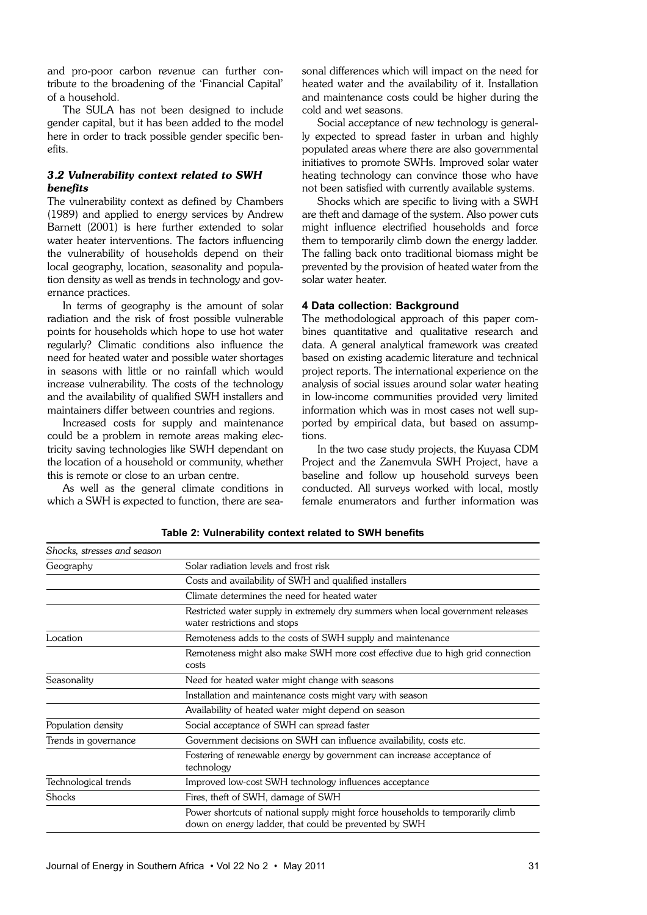and pro-poor carbon revenue can further contribute to the broadening of the 'Financial Capital' of a household.

The SULA has not been designed to include gender capital, but it has been added to the model here in order to track possible gender specific benefits.

# *3.2 Vulnerability context related to SWH benefits*

The vulnerability context as defined by Chambers (1989) and applied to energy services by Andrew Barnett (2001) is here further extended to solar water heater interventions. The factors influencing the vulnerability of households depend on their local geography, location, seasonality and population density as well as trends in technology and governance practices.

In terms of geography is the amount of solar radiation and the risk of frost possible vulnerable points for households which hope to use hot water regularly? Climatic conditions also influence the need for heated water and possible water shortages in seasons with little or no rainfall which would increase vulnerability. The costs of the technology and the availability of qualified SWH installers and maintainers differ between countries and regions.

Increased costs for supply and maintenance could be a problem in remote areas making electricity saving technologies like SWH dependant on the location of a household or community, whether this is remote or close to an urban centre.

As well as the general climate conditions in which a SWH is expected to function, there are seasonal differences which will impact on the need for heated water and the availability of it. Installation and maintenance costs could be higher during the cold and wet seasons.

Social acceptance of new technology is generally expected to spread faster in urban and highly populated areas where there are also governmental initiatives to promote SWHs. Improved solar water heating technology can convince those who have not been satisfied with currently available systems.

Shocks which are specific to living with a SWH are theft and damage of the system. Also power cuts might influence electrified households and force them to temporarily climb down the energy ladder. The falling back onto traditional biomass might be prevented by the provision of heated water from the solar water heater.

# **4 Data collection: Background**

The methodological approach of this paper combines quantitative and qualitative research and data. A general analytical framework was created based on existing academic literature and technical project reports. The international experience on the analysis of social issues around solar water heating in low-income communities provided very limited information which was in most cases not well supported by empirical data, but based on assumptions.

In the two case study projects, the Kuyasa CDM Project and the Zanemvula SWH Project, have a baseline and follow up household surveys been conducted. All surveys worked with local, mostly female enumerators and further information was

| Shocks, stresses and season |                                                                                                                                         |  |
|-----------------------------|-----------------------------------------------------------------------------------------------------------------------------------------|--|
| Geography                   | Solar radiation levels and frost risk                                                                                                   |  |
|                             | Costs and availability of SWH and qualified installers                                                                                  |  |
|                             | Climate determines the need for heated water                                                                                            |  |
|                             | Restricted water supply in extremely dry summers when local government releases<br>water restrictions and stops                         |  |
| Location                    | Remoteness adds to the costs of SWH supply and maintenance                                                                              |  |
|                             | Remoteness might also make SWH more cost effective due to high grid connection<br>costs                                                 |  |
| Seasonality                 | Need for heated water might change with seasons                                                                                         |  |
|                             | Installation and maintenance costs might vary with season                                                                               |  |
|                             | Availability of heated water might depend on season                                                                                     |  |
| Population density          | Social acceptance of SWH can spread faster                                                                                              |  |
| Trends in governance        | Government decisions on SWH can influence availability, costs etc.                                                                      |  |
|                             | Fostering of renewable energy by government can increase acceptance of<br>technology                                                    |  |
| Technological trends        | Improved low-cost SWH technology influences acceptance                                                                                  |  |
| <b>Shocks</b>               | Fires, theft of SWH, damage of SWH                                                                                                      |  |
|                             | Power shortcuts of national supply might force households to temporarily climb<br>down on energy ladder, that could be prevented by SWH |  |

**Table 2: Vulnerability context related to SWH benefits**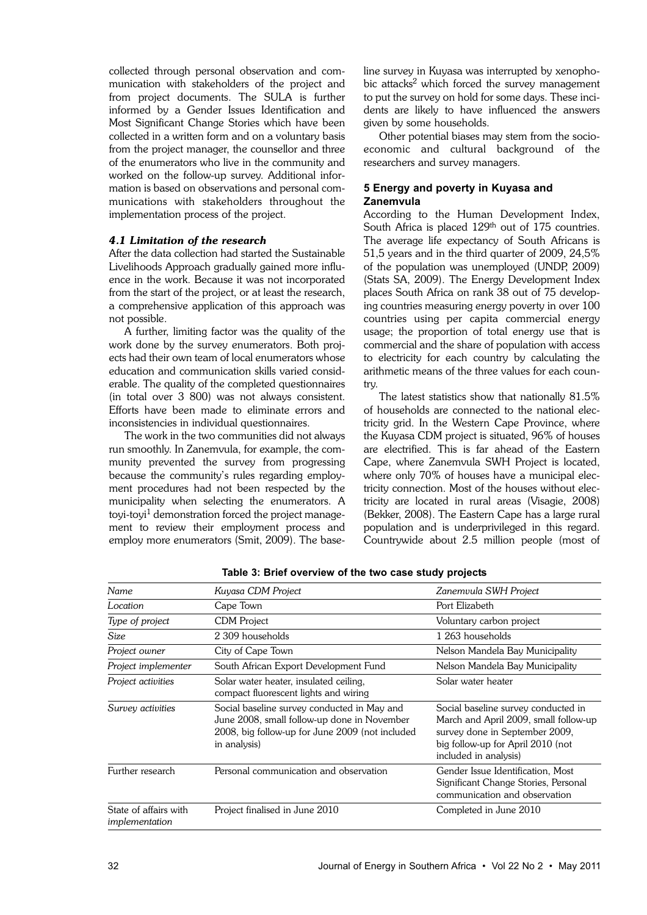collected through personal observation and communication with stakeholders of the project and from project documents. The SULA is further informed by a Gender Issues Identification and Most Significant Change Stories which have been collected in a written form and on a voluntary basis from the project manager, the counsellor and three of the enumerators who live in the community and worked on the follow-up survey. Additional information is based on observations and personal communications with stakeholders throughout the implementation process of the project.

#### *4.1 Limitation of the research*

After the data collection had started the Sustainable Livelihoods Approach gradually gained more influence in the work. Because it was not incorporated from the start of the project, or at least the research, a comprehensive application of this approach was not possible.

A further, limiting factor was the quality of the work done by the survey enumerators. Both projects had their own team of local enumerators whose education and communication skills varied considerable. The quality of the completed questionnaires (in total over 3 800) was not always consistent. Efforts have been made to eliminate errors and inconsistencies in individual questionnaires.

The work in the two communities did not always run smoothly. In Zanemvula, for example, the community prevented the survey from progressing because the community's rules regarding employment procedures had not been respected by the municipality when selecting the enumerators. A toyi-toyi<sup>1</sup> demonstration forced the project management to review their employment process and employ more enumerators (Smit, 2009). The baseline survey in Kuyasa was interrupted by xenophobic attacks<sup>2</sup> which forced the survey management to put the survey on hold for some days. These incidents are likely to have influenced the answers given by some households.

Other potential biases may stem from the socioeconomic and cultural background of the researchers and survey managers.

## **5 Energy and poverty in Kuyasa and Zanemvula**

According to the Human Development Index, South Africa is placed 129<sup>th</sup> out of 175 countries. The average life expectancy of South Africans is 51,5 years and in the third quarter of 2009, 24,5% of the population was unemployed (UNDP, 2009) (Stats SA, 2009). The Energy Development Index places South Africa on rank 38 out of 75 developing countries measuring energy poverty in over 100 countries using per capita commercial energy usage; the proportion of total energy use that is commercial and the share of population with access to electricity for each country by calculating the arithmetic means of the three values for each country.

The latest statistics show that nationally 81.5% of households are connected to the national electricity grid. In the Western Cape Province, where the Kuyasa CDM project is situated, 96% of houses are electrified. This is far ahead of the Eastern Cape, where Zanemvula SWH Project is located, where only 70% of houses have a municipal electricity connection. Most of the houses without electricity are located in rural areas (Visagie, 2008) (Bekker, 2008). The Eastern Cape has a large rural population and is underprivileged in this regard. Countrywide about 2.5 million people (most of

| Name                                    | Kuyasa CDM Project                                                                                                                                            | Zanemvula SWH Project                                                                                                                                                        |
|-----------------------------------------|---------------------------------------------------------------------------------------------------------------------------------------------------------------|------------------------------------------------------------------------------------------------------------------------------------------------------------------------------|
| Location                                | Cape Town                                                                                                                                                     | Port Elizabeth                                                                                                                                                               |
| Type of project                         | <b>CDM</b> Project                                                                                                                                            | Voluntary carbon project                                                                                                                                                     |
| Size                                    | 2 309 households                                                                                                                                              | 1 263 households                                                                                                                                                             |
| Project owner                           | City of Cape Town                                                                                                                                             | Nelson Mandela Bay Municipality                                                                                                                                              |
| Project implementer                     | South African Export Development Fund                                                                                                                         | Nelson Mandela Bay Municipality                                                                                                                                              |
| Project activities                      | Solar water heater, insulated ceiling,<br>compact fluorescent lights and wiring                                                                               | Solar water heater                                                                                                                                                           |
| Survey activities                       | Social baseline survey conducted in May and<br>June 2008, small follow-up done in November<br>2008, big follow-up for June 2009 (not included<br>in analysis) | Social baseline survey conducted in<br>March and April 2009, small follow-up<br>survey done in September 2009,<br>big follow-up for April 2010 (not<br>included in analysis) |
| Further research                        | Personal communication and observation                                                                                                                        | Gender Issue Identification, Most<br>Significant Change Stories, Personal<br>communication and observation                                                                   |
| State of affairs with<br>implementation | Project finalised in June 2010                                                                                                                                | Completed in June 2010                                                                                                                                                       |

**Table 3: Brief overview of the two case study projects**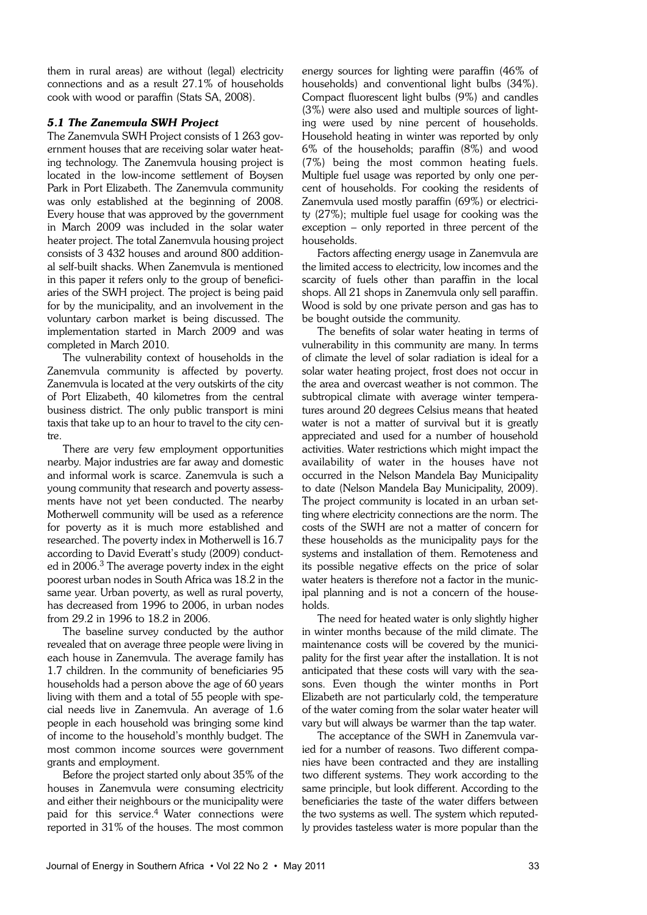them in rural areas) are without (legal) electricity connections and as a result 27.1% of households cook with wood or paraffin (Stats SA, 2008).

# *5.1 The Zanemvula SWH Project*

The Zanemvula SWH Project consists of 1 263 government houses that are receiving solar water heating technology. The Zanemvula housing project is located in the low-income settlement of Boysen Park in Port Elizabeth. The Zanemvula community was only established at the beginning of 2008. Every house that was approved by the government in March 2009 was included in the solar water heater project. The total Zanemvula housing project consists of 3 432 houses and around 800 additional self-built shacks. When Zanemvula is mentioned in this paper it refers only to the group of beneficiaries of the SWH project. The project is being paid for by the municipality, and an involvement in the voluntary carbon market is being discussed. The implementation started in March 2009 and was completed in March 2010.

The vulnerability context of households in the Zanemvula community is affected by poverty. Zanemvula is located at the very outskirts of the city of Port Elizabeth, 40 kilometres from the central business district. The only public transport is mini taxis that take up to an hour to travel to the city centre.

There are very few employment opportunities nearby. Major industries are far away and domestic and informal work is scarce. Zanemvula is such a young community that research and poverty assessments have not yet been conducted. The nearby Motherwell community will be used as a reference for poverty as it is much more established and researched. The poverty index in Motherwell is 16.7 according to David Everatt's study (2009) conducted in 2006.<sup>3</sup> The average poverty index in the eight poorest urban nodes in South Africa was 18.2 in the same year. Urban poverty, as well as rural poverty, has decreased from 1996 to 2006, in urban nodes from 29.2 in 1996 to 18.2 in 2006.

The baseline survey conducted by the author revealed that on average three people were living in each house in Zanemvula. The average family has 1.7 children. In the community of beneficiaries 95 households had a person above the age of 60 years living with them and a total of 55 people with special needs live in Zanemvula. An average of 1.6 people in each household was bringing some kind of income to the household's monthly budget. The most common income sources were government grants and employment.

Before the project started only about 35% of the houses in Zanemvula were consuming electricity and either their neighbours or the municipality were paid for this service.<sup>4</sup> Water connections were reported in 31% of the houses. The most common

energy sources for lighting were paraffin (46% of households) and conventional light bulbs (34%). Compact fluorescent light bulbs (9%) and candles (3%) were also used and multiple sources of lighting were used by nine percent of households. Household heating in winter was reported by only 6% of the households; paraffin (8%) and wood (7%) being the most common heating fuels. Multiple fuel usage was reported by only one percent of households. For cooking the residents of Zanemvula used mostly paraffin (69%) or electricity (27%); multiple fuel usage for cooking was the exception – only reported in three percent of the households.

Factors affecting energy usage in Zanemvula are the limited access to electricity, low incomes and the scarcity of fuels other than paraffin in the local shops. All 21 shops in Zanemvula only sell paraffin. Wood is sold by one private person and gas has to be bought outside the community.

The benefits of solar water heating in terms of vulnerability in this community are many. In terms of climate the level of solar radiation is ideal for a solar water heating project, frost does not occur in the area and overcast weather is not common. The subtropical climate with average winter temperatures around 20 degrees Celsius means that heated water is not a matter of survival but it is greatly appreciated and used for a number of household activities. Water restrictions which might impact the availability of water in the houses have not occurred in the Nelson Mandela Bay Municipality to date (Nelson Mandela Bay Municipality, 2009). The project community is located in an urban setting where electricity connections are the norm. The costs of the SWH are not a matter of concern for these households as the municipality pays for the systems and installation of them. Remoteness and its possible negative effects on the price of solar water heaters is therefore not a factor in the municipal planning and is not a concern of the households.

The need for heated water is only slightly higher in winter months because of the mild climate. The maintenance costs will be covered by the municipality for the first year after the installation. It is not anticipated that these costs will vary with the seasons. Even though the winter months in Port Elizabeth are not particularly cold, the temperature of the water coming from the solar water heater will vary but will always be warmer than the tap water.

The acceptance of the SWH in Zanemvula varied for a number of reasons. Two different companies have been contracted and they are installing two different systems. They work according to the same principle, but look different. According to the beneficiaries the taste of the water differs between the two systems as well. The system which reputedly provides tasteless water is more popular than the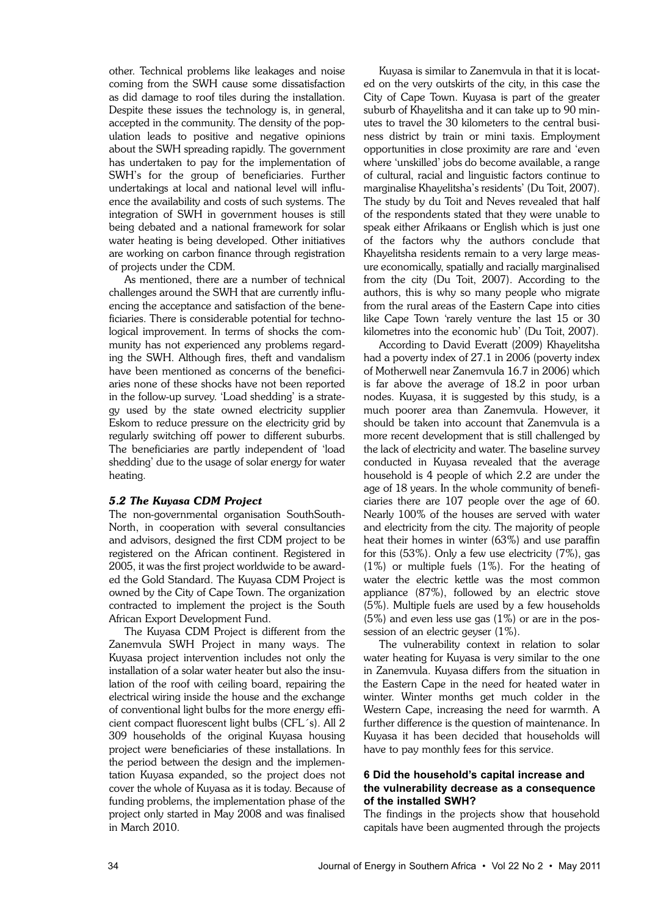other. Technical problems like leakages and noise coming from the SWH cause some dissatisfaction as did damage to roof tiles during the installation. Despite these issues the technology is, in general, accepted in the community. The density of the population leads to positive and negative opinions about the SWH spreading rapidly. The government has undertaken to pay for the implementation of SWH's for the group of beneficiaries. Further undertakings at local and national level will influence the availability and costs of such systems. The integration of SWH in government houses is still being debated and a national framework for solar water heating is being developed. Other initiatives are working on carbon finance through registration of projects under the CDM.

As mentioned, there are a number of technical challenges around the SWH that are currently influencing the acceptance and satisfaction of the beneficiaries. There is considerable potential for technological improvement. In terms of shocks the community has not experienced any problems regarding the SWH. Although fires, theft and vandalism have been mentioned as concerns of the beneficiaries none of these shocks have not been reported in the follow-up survey. 'Load shedding' is a strategy used by the state owned electricity supplier Eskom to reduce pressure on the electricity grid by regularly switching off power to different suburbs. The beneficiaries are partly independent of 'load shedding' due to the usage of solar energy for water heating.

#### *5.2 The Kuyasa CDM Project*

The non-governmental organisation SouthSouth-North, in cooperation with several consultancies and advisors, designed the first CDM project to be registered on the African continent. Registered in 2005, it was the first project worldwide to be awarded the Gold Standard. The Kuyasa CDM Project is owned by the City of Cape Town. The organization contracted to implement the project is the South African Export Development Fund.

The Kuyasa CDM Project is different from the Zanemvula SWH Project in many ways. The Kuyasa project intervention includes not only the installation of a solar water heater but also the insulation of the roof with ceiling board, repairing the electrical wiring inside the house and the exchange of conventional light bulbs for the more energy efficient compact fluorescent light bulbs (CFL´s). All 2 309 households of the original Kuyasa housing project were beneficiaries of these installations. In the period between the design and the implementation Kuyasa expanded, so the project does not cover the whole of Kuyasa as it is today. Because of funding problems, the implementation phase of the project only started in May 2008 and was finalised in March 2010.

Kuyasa is similar to Zanemvula in that it is located on the very outskirts of the city, in this case the City of Cape Town. Kuyasa is part of the greater suburb of Khayelitsha and it can take up to 90 minutes to travel the 30 kilometers to the central business district by train or mini taxis. Employment opportunities in close proximity are rare and 'even where 'unskilled' jobs do become available, a range of cultural, racial and linguistic factors continue to marginalise Khayelitsha's residents' (Du Toit, 2007). The study by du Toit and Neves revealed that half of the respondents stated that they were unable to speak either Afrikaans or English which is just one of the factors why the authors conclude that Khayelitsha residents remain to a very large measure economically, spatially and racially marginalised from the city (Du Toit, 2007). According to the authors, this is why so many people who migrate from the rural areas of the Eastern Cape into cities like Cape Town 'rarely venture the last 15 or 30 kilometres into the economic hub' (Du Toit, 2007).

According to David Everatt (2009) Khayelitsha had a poverty index of 27.1 in 2006 (poverty index of Motherwell near Zanemvula 16.7 in 2006) which is far above the average of 18.2 in poor urban nodes. Kuyasa, it is suggested by this study, is a much poorer area than Zanemvula. However, it should be taken into account that Zanemvula is a more recent development that is still challenged by the lack of electricity and water. The baseline survey conducted in Kuyasa revealed that the average household is 4 people of which 2.2 are under the age of 18 years. In the whole community of beneficiaries there are 107 people over the age of 60. Nearly 100% of the houses are served with water and electricity from the city. The majority of people heat their homes in winter (63%) and use paraffin for this (53%). Only a few use electricity (7%), gas (1%) or multiple fuels (1%). For the heating of water the electric kettle was the most common appliance (87%), followed by an electric stove (5%). Multiple fuels are used by a few households  $(5\%)$  and even less use gas  $(1\%)$  or are in the possession of an electric geyser (1%).

The vulnerability context in relation to solar water heating for Kuyasa is very similar to the one in Zanemvula. Kuyasa differs from the situation in the Eastern Cape in the need for heated water in winter. Winter months get much colder in the Western Cape, increasing the need for warmth. A further difference is the question of maintenance. In Kuyasa it has been decided that households will have to pay monthly fees for this service.

## **6 Did the household's capital increase and the vulnerability decrease as a consequence of the installed SWH?**

The findings in the projects show that household capitals have been augmented through the projects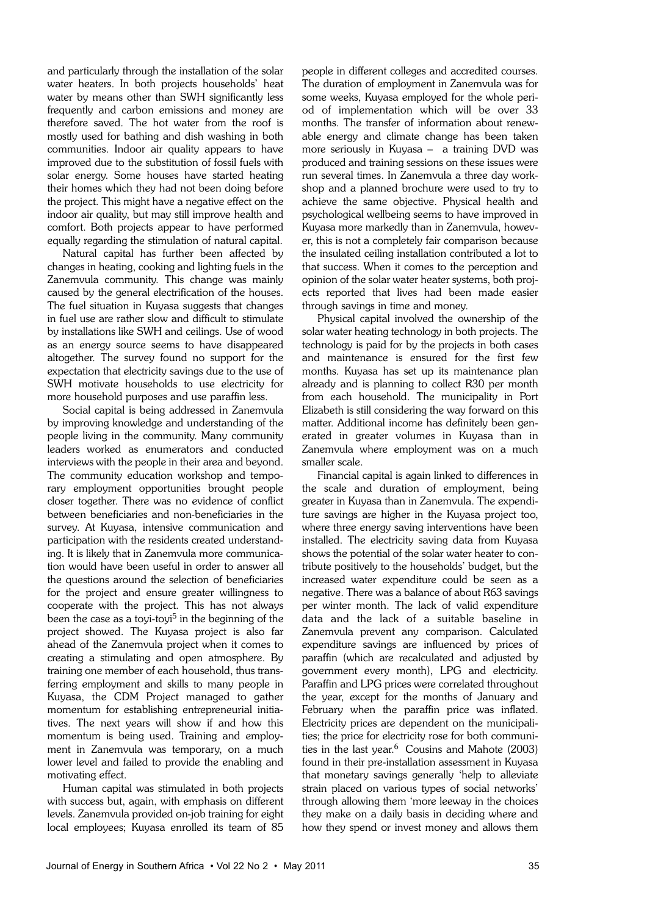and particularly through the installation of the solar water heaters. In both projects households' heat water by means other than SWH significantly less frequently and carbon emissions and money are therefore saved. The hot water from the roof is mostly used for bathing and dish washing in both communities. Indoor air quality appears to have improved due to the substitution of fossil fuels with solar energy. Some houses have started heating their homes which they had not been doing before the project. This might have a negative effect on the indoor air quality, but may still improve health and comfort. Both projects appear to have performed equally regarding the stimulation of natural capital.

Natural capital has further been affected by changes in heating, cooking and lighting fuels in the Zanemvula community. This change was mainly caused by the general electrification of the houses. The fuel situation in Kuyasa suggests that changes in fuel use are rather slow and difficult to stimulate by installations like SWH and ceilings. Use of wood as an energy source seems to have disappeared altogether. The survey found no support for the expectation that electricity savings due to the use of SWH motivate households to use electricity for more household purposes and use paraffin less.

Social capital is being addressed in Zanemvula by improving knowledge and understanding of the people living in the community. Many community leaders worked as enumerators and conducted interviews with the people in their area and beyond. The community education workshop and temporary employment opportunities brought people closer together. There was no evidence of conflict between beneficiaries and non-beneficiaries in the survey. At Kuyasa, intensive communication and participation with the residents created understanding. It is likely that in Zanemvula more communication would have been useful in order to answer all the questions around the selection of beneficiaries for the project and ensure greater willingness to cooperate with the project. This has not always been the case as a toyi-toyi<sup>5</sup> in the beginning of the project showed. The Kuyasa project is also far ahead of the Zanemvula project when it comes to creating a stimulating and open atmosphere. By training one member of each household, thus transferring employment and skills to many people in Kuyasa, the CDM Project managed to gather momentum for establishing entrepreneurial initiatives. The next years will show if and how this momentum is being used. Training and employment in Zanemvula was temporary, on a much lower level and failed to provide the enabling and motivating effect.

Human capital was stimulated in both projects with success but, again, with emphasis on different levels. Zanemvula provided on-job training for eight local employees; Kuyasa enrolled its team of 85

people in different colleges and accredited courses. The duration of employment in Zanemvula was for some weeks, Kuyasa employed for the whole period of implementation which will be over 33 months. The transfer of information about renewable energy and climate change has been taken more seriously in Kuyasa – a training DVD was produced and training sessions on these issues were run several times. In Zanemvula a three day workshop and a planned brochure were used to try to achieve the same objective. Physical health and psychological wellbeing seems to have improved in Kuyasa more markedly than in Zanemvula, however, this is not a completely fair comparison because the insulated ceiling installation contributed a lot to that success. When it comes to the perception and opinion of the solar water heater systems, both projects reported that lives had been made easier through savings in time and money.

Physical capital involved the ownership of the solar water heating technology in both projects. The technology is paid for by the projects in both cases and maintenance is ensured for the first few months. Kuyasa has set up its maintenance plan already and is planning to collect R30 per month from each household. The municipality in Port Elizabeth is still considering the way forward on this matter. Additional income has definitely been generated in greater volumes in Kuyasa than in Zanemvula where employment was on a much smaller scale.

Financial capital is again linked to differences in the scale and duration of employment, being greater in Kuyasa than in Zanemvula. The expenditure savings are higher in the Kuyasa project too, where three energy saving interventions have been installed. The electricity saving data from Kuyasa shows the potential of the solar water heater to contribute positively to the households' budget, but the increased water expenditure could be seen as a negative. There was a balance of about R63 savings per winter month. The lack of valid expenditure data and the lack of a suitable baseline in Zanemvula prevent any comparison. Calculated expenditure savings are influenced by prices of paraffin (which are recalculated and adjusted by government every month), LPG and electricity. Paraffin and LPG prices were correlated throughout the year, except for the months of January and February when the paraffin price was inflated. Electricity prices are dependent on the municipalities; the price for electricity rose for both communities in the last year.<sup>6</sup> Cousins and Mahote (2003) found in their pre-installation assessment in Kuyasa that monetary savings generally 'help to alleviate strain placed on various types of social networks' through allowing them 'more leeway in the choices they make on a daily basis in deciding where and how they spend or invest money and allows them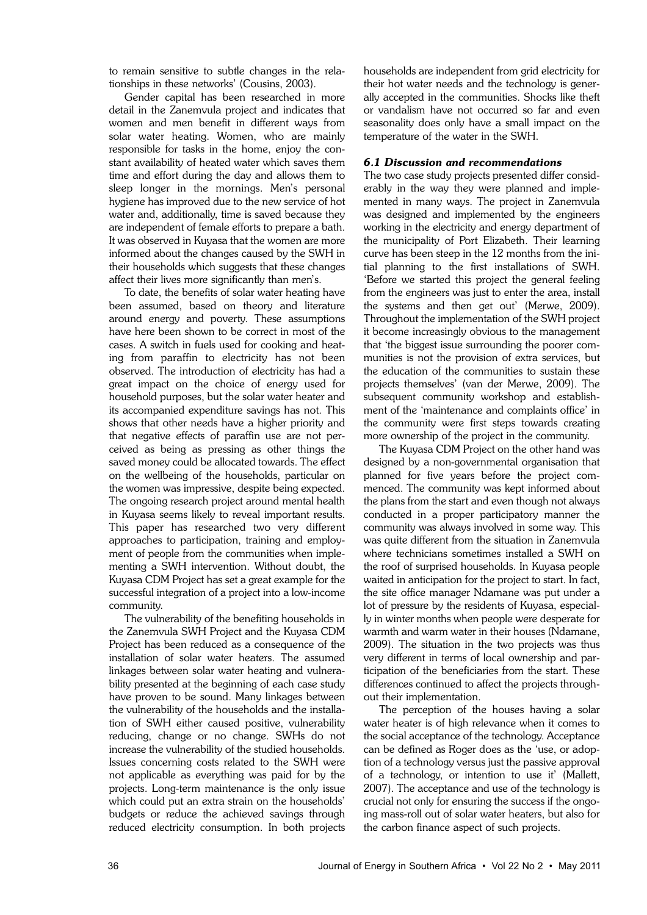to remain sensitive to subtle changes in the relationships in these networks' (Cousins, 2003).

Gender capital has been researched in more detail in the Zanemvula project and indicates that women and men benefit in different ways from solar water heating. Women, who are mainly responsible for tasks in the home, enjoy the constant availability of heated water which saves them time and effort during the day and allows them to sleep longer in the mornings. Men's personal hygiene has improved due to the new service of hot water and, additionally, time is saved because they are independent of female efforts to prepare a bath. It was observed in Kuyasa that the women are more informed about the changes caused by the SWH in their households which suggests that these changes affect their lives more significantly than men's.

To date, the benefits of solar water heating have been assumed, based on theory and literature around energy and poverty. These assumptions have here been shown to be correct in most of the cases. A switch in fuels used for cooking and heating from paraffin to electricity has not been observed. The introduction of electricity has had a great impact on the choice of energy used for household purposes, but the solar water heater and its accompanied expenditure savings has not. This shows that other needs have a higher priority and that negative effects of paraffin use are not perceived as being as pressing as other things the saved money could be allocated towards. The effect on the wellbeing of the households, particular on the women was impressive, despite being expected. The ongoing research project around mental health in Kuyasa seems likely to reveal important results. This paper has researched two very different approaches to participation, training and employment of people from the communities when implementing a SWH intervention. Without doubt, the Kuyasa CDM Project has set a great example for the successful integration of a project into a low-income community.

The vulnerability of the benefiting households in the Zanemvula SWH Project and the Kuyasa CDM Project has been reduced as a consequence of the installation of solar water heaters. The assumed linkages between solar water heating and vulnerability presented at the beginning of each case study have proven to be sound. Many linkages between the vulnerability of the households and the installation of SWH either caused positive, vulnerability reducing, change or no change. SWHs do not increase the vulnerability of the studied households. Issues concerning costs related to the SWH were not applicable as everything was paid for by the projects. Long-term maintenance is the only issue which could put an extra strain on the households' budgets or reduce the achieved savings through reduced electricity consumption. In both projects

households are independent from grid electricity for their hot water needs and the technology is generally accepted in the communities. Shocks like theft or vandalism have not occurred so far and even seasonality does only have a small impact on the temperature of the water in the SWH.

#### *6.1 Discussion and recommendations*

The two case study projects presented differ considerably in the way they were planned and implemented in many ways. The project in Zanemvula was designed and implemented by the engineers working in the electricity and energy department of the municipality of Port Elizabeth. Their learning curve has been steep in the 12 months from the initial planning to the first installations of SWH. 'Before we started this project the general feeling from the engineers was just to enter the area, install the systems and then get out' (Merwe, 2009). Throughout the implementation of the SWH project it become increasingly obvious to the management that 'the biggest issue surrounding the poorer communities is not the provision of extra services, but the education of the communities to sustain these projects themselves' (van der Merwe, 2009). The subsequent community workshop and establishment of the 'maintenance and complaints office' in the community were first steps towards creating more ownership of the project in the community.

The Kuyasa CDM Project on the other hand was designed by a non-governmental organisation that planned for five years before the project commenced. The community was kept informed about the plans from the start and even though not always conducted in a proper participatory manner the community was always involved in some way. This was quite different from the situation in Zanemvula where technicians sometimes installed a SWH on the roof of surprised households. In Kuyasa people waited in anticipation for the project to start. In fact, the site office manager Ndamane was put under a lot of pressure by the residents of Kuyasa, especially in winter months when people were desperate for warmth and warm water in their houses (Ndamane, 2009). The situation in the two projects was thus very different in terms of local ownership and participation of the beneficiaries from the start. These differences continued to affect the projects throughout their implementation.

The perception of the houses having a solar water heater is of high relevance when it comes to the social acceptance of the technology. Acceptance can be defined as Roger does as the 'use, or adoption of a technology versus just the passive approval of a technology, or intention to use it' (Mallett, 2007). The acceptance and use of the technology is crucial not only for ensuring the success if the ongoing mass-roll out of solar water heaters, but also for the carbon finance aspect of such projects.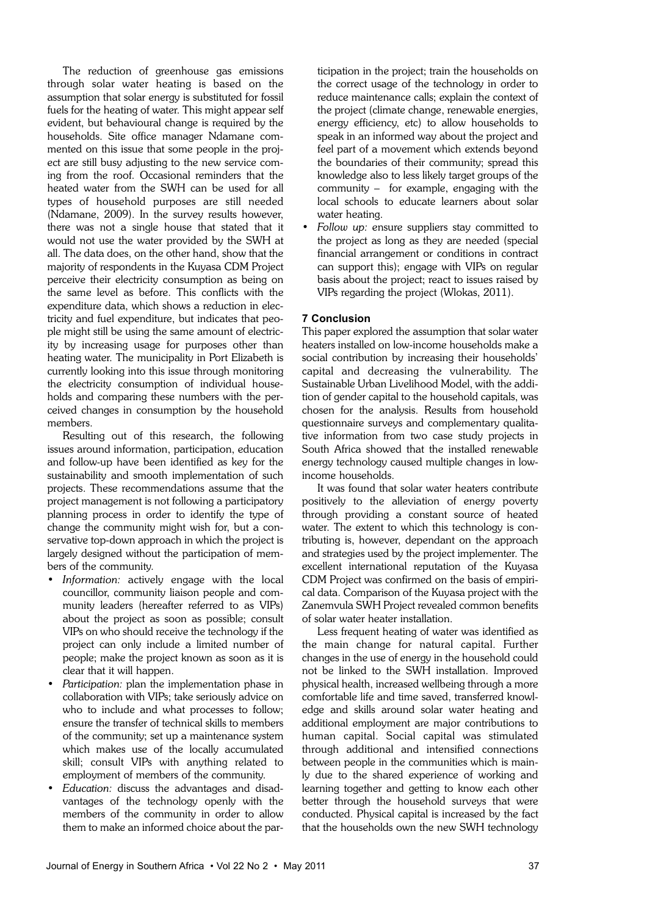The reduction of greenhouse gas emissions through solar water heating is based on the assumption that solar energy is substituted for fossil fuels for the heating of water. This might appear self evident, but behavioural change is required by the households. Site office manager Ndamane commented on this issue that some people in the project are still busy adjusting to the new service coming from the roof. Occasional reminders that the heated water from the SWH can be used for all types of household purposes are still needed (Ndamane, 2009). In the survey results however, there was not a single house that stated that it would not use the water provided by the SWH at all. The data does, on the other hand, show that the majority of respondents in the Kuyasa CDM Project perceive their electricity consumption as being on the same level as before. This conflicts with the expenditure data, which shows a reduction in electricity and fuel expenditure, but indicates that people might still be using the same amount of electricity by increasing usage for purposes other than heating water. The municipality in Port Elizabeth is currently looking into this issue through monitoring the electricity consumption of individual households and comparing these numbers with the perceived changes in consumption by the household members.

Resulting out of this research, the following issues around information, participation, education and follow-up have been identified as key for the sustainability and smooth implementation of such projects. These recommendations assume that the project management is not following a participatory planning process in order to identify the type of change the community might wish for, but a conservative top-down approach in which the project is largely designed without the participation of members of the community.

- *Information:* actively engage with the local councillor, community liaison people and community leaders (hereafter referred to as VIPs) about the project as soon as possible; consult VIPs on who should receive the technology if the project can only include a limited number of people; make the project known as soon as it is clear that it will happen.
- *Participation:* plan the implementation phase in collaboration with VIPs; take seriously advice on who to include and what processes to follow; ensure the transfer of technical skills to members of the community; set up a maintenance system which makes use of the locally accumulated skill; consult VIPs with anything related to employment of members of the community.
- *Education:* discuss the advantages and disadvantages of the technology openly with the members of the community in order to allow them to make an informed choice about the par-

ticipation in the project; train the households on the correct usage of the technology in order to reduce maintenance calls; explain the context of the project (climate change, renewable energies, energy efficiency, etc) to allow households to speak in an informed way about the project and feel part of a movement which extends beyond the boundaries of their community; spread this knowledge also to less likely target groups of the community – for example, engaging with the local schools to educate learners about solar water heating.

• *Follow up:* ensure suppliers stay committed to the project as long as they are needed (special financial arrangement or conditions in contract can support this); engage with VIPs on regular basis about the project; react to issues raised by VIPs regarding the project (Wlokas, 2011).

# **7 Conclusion**

This paper explored the assumption that solar water heaters installed on low-income households make a social contribution by increasing their households' capital and decreasing the vulnerability. The Sustainable Urban Livelihood Model, with the addition of gender capital to the household capitals, was chosen for the analysis. Results from household questionnaire surveys and complementary qualitative information from two case study projects in South Africa showed that the installed renewable energy technology caused multiple changes in lowincome households.

It was found that solar water heaters contribute positively to the alleviation of energy poverty through providing a constant source of heated water. The extent to which this technology is contributing is, however, dependant on the approach and strategies used by the project implementer. The excellent international reputation of the Kuyasa CDM Project was confirmed on the basis of empirical data. Comparison of the Kuyasa project with the Zanemvula SWH Project revealed common benefits of solar water heater installation.

Less frequent heating of water was identified as the main change for natural capital. Further changes in the use of energy in the household could not be linked to the SWH installation. Improved physical health, increased wellbeing through a more comfortable life and time saved, transferred knowledge and skills around solar water heating and additional employment are major contributions to human capital. Social capital was stimulated through additional and intensified connections between people in the communities which is mainly due to the shared experience of working and learning together and getting to know each other better through the household surveys that were conducted. Physical capital is increased by the fact that the households own the new SWH technology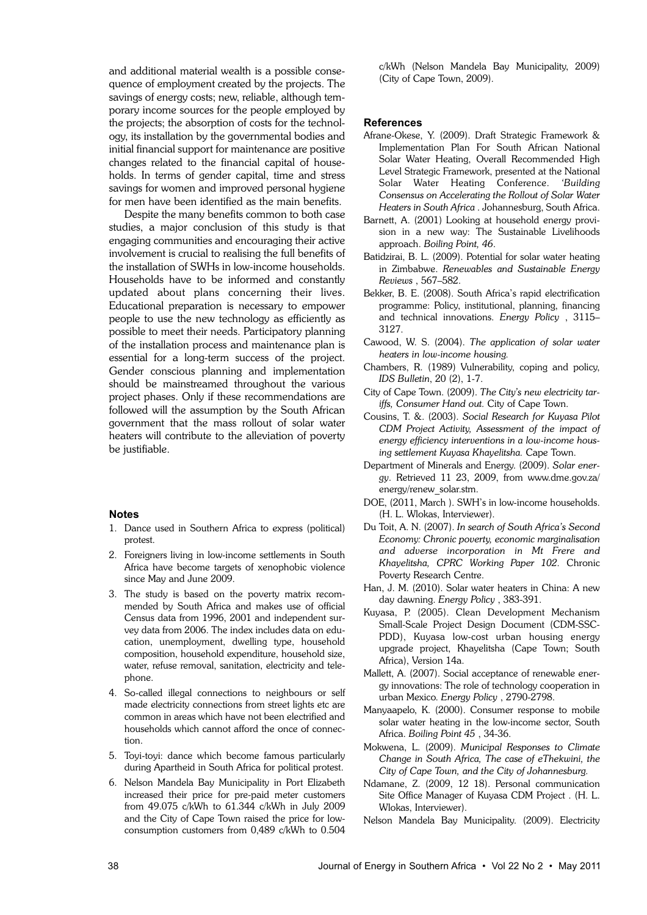and additional material wealth is a possible consequence of employment created by the projects. The savings of energy costs; new, reliable, although temporary income sources for the people employed by the projects; the absorption of costs for the technology, its installation by the governmental bodies and initial financial support for maintenance are positive changes related to the financial capital of households. In terms of gender capital, time and stress savings for women and improved personal hygiene for men have been identified as the main benefits.

Despite the many benefits common to both case studies, a major conclusion of this study is that engaging communities and encouraging their active involvement is crucial to realising the full benefits of the installation of SWHs in low-income households. Households have to be informed and constantly updated about plans concerning their lives. Educational preparation is necessary to empower people to use the new technology as efficiently as possible to meet their needs. Participatory planning of the installation process and maintenance plan is essential for a long-term success of the project. Gender conscious planning and implementation should be mainstreamed throughout the various project phases. Only if these recommendations are followed will the assumption by the South African government that the mass rollout of solar water heaters will contribute to the alleviation of poverty be justifiable.

#### **Notes**

- 1. Dance used in Southern Africa to express (political) protest.
- 2. Foreigners living in low-income settlements in South Africa have become targets of xenophobic violence since May and June 2009.
- 3. The study is based on the poverty matrix recommended by South Africa and makes use of official Census data from 1996, 2001 and independent survey data from 2006. The index includes data on education, unemployment, dwelling type, household composition, household expenditure, household size, water, refuse removal, sanitation, electricity and telephone.
- 4. So-called illegal connections to neighbours or self made electricity connections from street lights etc are common in areas which have not been electrified and households which cannot afford the once of connection.
- 5. Toyi-toyi: dance which become famous particularly during Apartheid in South Africa for political protest.
- 6. Nelson Mandela Bay Municipality in Port Elizabeth increased their price for pre-paid meter customers from 49.075 c/kWh to 61.344 c/kWh in July 2009 and the City of Cape Town raised the price for lowconsumption customers from 0,489 c/kWh to 0.504

c/kWh (Nelson Mandela Bay Municipality, 2009) (City of Cape Town, 2009).

#### **References**

- Afrane-Okese, Y. (2009). Draft Strategic Framework & Implementation Plan For South African National Solar Water Heating, Overall Recommended High Level Strategic Framework, presented at the National Solar Water Heating Conference. *'Building Consensus on Accelerating the Rollout of Solar Water Heaters in South Africa* . Johannesburg, South Africa.
- Barnett, A. (2001) Looking at household energy provision in a new way: The Sustainable Livelihoods approach. *Boiling Point, 46*.
- Batidzirai, B. L. (2009). Potential for solar water heating in Zimbabwe. *Renewables and Sustainable Energy Reviews* , 567–582.
- Bekker, B. E. (2008). South Africa's rapid electrification programme: Policy, institutional, planning, financing and technical innovations. *Energy Policy* , 3115– 3127.
- Cawood, W. S. (2004). *The application of solar water heaters in low-income housing.*
- Chambers, R. (1989) Vulnerability, coping and policy, *IDS Bulletin*, 20 (2), 1-7.
- City of Cape Town. (2009). *The City's new electricity tariffs, Consumer Hand out.* City of Cape Town.
- Cousins, T. &. (2003). *Social Research for Kuyasa Pilot CDM Project Activity, Assessment of the impact of energy efficiency interventions in a low-income housing settlement Kuyasa Khayelitsha.* Cape Town.
- Department of Minerals and Energy. (2009). *Solar energy*. Retrieved 11 23, 2009, from www.dme.gov.za/ energy/renew\_solar.stm.
- DOE, (2011, March ). SWH's in low-income households. (H. L. Wlokas, Interviewer).
- Du Toit, A. N. (2007). *In search of South Africa's Second Economy: Chronic poverty, economic marginalisation and adverse incorporation in Mt Frere and Khayelitsha, CPRC Working Paper 102.* Chronic Poverty Research Centre.
- Han, J. M. (2010). Solar water heaters in China: A new day dawning. *Energy Policy* , 383-391.
- Kuyasa, P. (2005). Clean Development Mechanism Small-Scale Project Design Document (CDM-SSC-PDD), Kuyasa low-cost urban housing energy upgrade project, Khayelitsha (Cape Town; South Africa), Version 14a.
- Mallett, A. (2007). Social acceptance of renewable energy innovations: The role of technology cooperation in urban Mexico. *Energy Policy* , 2790-2798.
- Manyaapelo, K. (2000). Consumer response to mobile solar water heating in the low-income sector, South Africa. *Boiling Point 45* , 34-36.
- Mokwena, L. (2009). *Municipal Responses to Climate Change in South Africa, The case of eThekwini, the City of Cape Town, and the City of Johannesburg.*
- Ndamane, Z. (2009, 12 18). Personal communication Site Office Manager of Kuyasa CDM Project . (H. L. Wlokas, Interviewer).
- Nelson Mandela Bay Municipality. (2009). Electricity